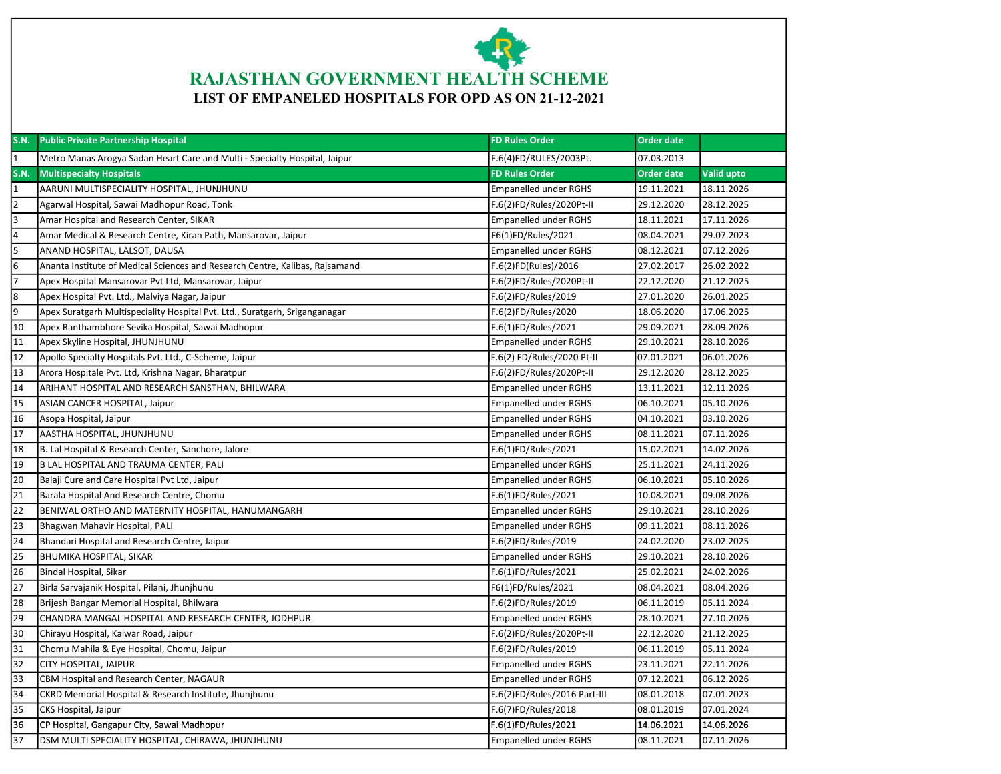

| <b>S.N.</b>              | <b>Public Private Partnership Hospital</b>                                   | <b>FD Rules Order</b>        | <b>Order date</b> |            |
|--------------------------|------------------------------------------------------------------------------|------------------------------|-------------------|------------|
| $\mathbf{1}$             | Metro Manas Arogya Sadan Heart Care and Multi - Specialty Hospital, Jaipur   | F.6(4)FD/RULES/2003Pt.       | 07.03.2013        |            |
| <b>S.N.</b>              | <b>Multispecialty Hospitals</b>                                              | <b>FD Rules Order</b>        | Order date        | Valid upto |
| $\mathbf{1}$             | AARUNI MULTISPECIALITY HOSPITAL, JHUNJHUNU                                   | <b>Empanelled under RGHS</b> | 19.11.2021        | 18.11.2026 |
| $\overline{2}$           | Agarwal Hospital, Sawai Madhopur Road, Tonk                                  | F.6(2)FD/Rules/2020Pt-II     | 29.12.2020        | 28.12.2025 |
| 3                        | Amar Hospital and Research Center, SIKAR                                     | <b>Empanelled under RGHS</b> | 18.11.2021        | 17.11.2026 |
| $\overline{\phantom{a}}$ | Amar Medical & Research Centre, Kiran Path, Mansarovar, Jaipur               | F6(1)FD/Rules/2021           | 08.04.2021        | 29.07.2023 |
| 5                        | ANAND HOSPITAL, LALSOT, DAUSA                                                | <b>Empanelled under RGHS</b> | 08.12.2021        | 07.12.2026 |
| $\sqrt{6}$               | Ananta Institute of Medical Sciences and Research Centre, Kalibas, Rajsamand | F.6(2)FD(Rules)/2016         | 27.02.2017        | 26.02.2022 |
| $\overline{7}$           | Apex Hospital Mansarovar Pvt Ltd, Mansarovar, Jaipur                         | F.6(2)FD/Rules/2020Pt-II     | 22.12.2020        | 21.12.2025 |
| 8                        | Apex Hospital Pvt. Ltd., Malviya Nagar, Jaipur                               | F.6(2)FD/Rules/2019          | 27.01.2020        | 26.01.2025 |
| 9                        | Apex Suratgarh Multispeciality Hospital Pvt. Ltd., Suratgarh, Sriganganagar  | F.6(2)FD/Rules/2020          | 18.06.2020        | 17.06.2025 |
| 10                       | Apex Ranthambhore Sevika Hospital, Sawai Madhopur                            | F.6(1)FD/Rules/2021          | 29.09.2021        | 28.09.2026 |
| 11                       | Apex Skyline Hospital, JHUNJHUNU                                             | Empanelled under RGHS        | 29.10.2021        | 28.10.2026 |
| 12                       | Apollo Specialty Hospitals Pvt. Ltd., C-Scheme, Jaipur                       | F.6(2) FD/Rules/2020 Pt-II   | 07.01.2021        | 06.01.2026 |
| 13                       | Arora Hospitale Pvt. Ltd, Krishna Nagar, Bharatpur                           | F.6(2)FD/Rules/2020Pt-II     | 29.12.2020        | 28.12.2025 |
| 14                       | ARIHANT HOSPITAL AND RESEARCH SANSTHAN, BHILWARA                             | <b>Empanelled under RGHS</b> | 13.11.2021        | 12.11.2026 |
| 15                       | ASIAN CANCER HOSPITAL, Jaipur                                                | <b>Empanelled under RGHS</b> | 06.10.2021        | 05.10.2026 |
| 16                       | Asopa Hospital, Jaipur                                                       | <b>Empanelled under RGHS</b> | 04.10.2021        | 03.10.2026 |
| 17                       | AASTHA HOSPITAL, JHUNJHUNU                                                   | <b>Empanelled under RGHS</b> | 08.11.2021        | 07.11.2026 |
| 18                       | B. Lal Hospital & Research Center, Sanchore, Jalore                          | F.6(1)FD/Rules/2021          | 15.02.2021        | 14.02.2026 |
| 19                       | B LAL HOSPITAL AND TRAUMA CENTER, PALI                                       | <b>Empanelled under RGHS</b> | 25.11.2021        | 24.11.2026 |
| 20                       | Balaji Cure and Care Hospital Pvt Ltd, Jaipur                                | <b>Empanelled under RGHS</b> | 06.10.2021        | 05.10.2026 |
| 21                       | Barala Hospital And Research Centre, Chomu                                   | F.6(1)FD/Rules/2021          | 10.08.2021        | 09.08.2026 |
| 22                       | BENIWAL ORTHO AND MATERNITY HOSPITAL, HANUMANGARH                            | <b>Empanelled under RGHS</b> | 29.10.2021        | 28.10.2026 |
| 23                       | Bhagwan Mahavir Hospital, PALI                                               | Empanelled under RGHS        | 09.11.2021        | 08.11.2026 |
| 24                       | Bhandari Hospital and Research Centre, Jaipur                                | F.6(2)FD/Rules/2019          | 24.02.2020        | 23.02.2025 |
| 25                       | <b>BHUMIKA HOSPITAL, SIKAR</b>                                               | <b>Empanelled under RGHS</b> | 29.10.2021        | 28.10.2026 |
| 26                       | Bindal Hospital, Sikar                                                       | F.6(1)FD/Rules/2021          | 25.02.2021        | 24.02.2026 |
| $\overline{27}$          | Birla Sarvajanik Hospital, Pilani, Jhunjhunu                                 | F6(1)FD/Rules/2021           | 08.04.2021        | 08.04.2026 |
| 28                       | Brijesh Bangar Memorial Hospital, Bhilwara                                   | F.6(2)FD/Rules/2019          | 06.11.2019        | 05.11.2024 |
| 29                       | CHANDRA MANGAL HOSPITAL AND RESEARCH CENTER, JODHPUR                         | <b>Empanelled under RGHS</b> | 28.10.2021        | 27.10.2026 |
| 30                       | Chirayu Hospital, Kalwar Road, Jaipur                                        | F.6(2)FD/Rules/2020Pt-II     | 22.12.2020        | 21.12.2025 |
| 31                       | Chomu Mahila & Eye Hospital, Chomu, Jaipur                                   | F.6(2)FD/Rules/2019          | 06.11.2019        | 05.11.2024 |
| 32                       | CITY HOSPITAL, JAIPUR                                                        | <b>Empanelled under RGHS</b> | 23.11.2021        | 22.11.2026 |
| 33                       | CBM Hospital and Research Center, NAGAUR                                     | <b>Empanelled under RGHS</b> | 07.12.2021        | 06.12.2026 |
| 34                       | CKRD Memorial Hospital & Research Institute, Jhunjhunu                       | F.6(2)FD/Rules/2016 Part-III | 08.01.2018        | 07.01.2023 |
| 35                       | CKS Hospital, Jaipur                                                         | F.6(7)FD/Rules/2018          | 08.01.2019        | 07.01.2024 |
| 36                       | CP Hospital, Gangapur City, Sawai Madhopur                                   | F.6(1)FD/Rules/2021          | 14.06.2021        | 14.06.2026 |
| 37                       | IDSM MULTI SPECIALITY HOSPITAL, CHIRAWA, JHUNJHUNU                           | Empanelled under RGHS        | 08.11.2021        | 07.11.2026 |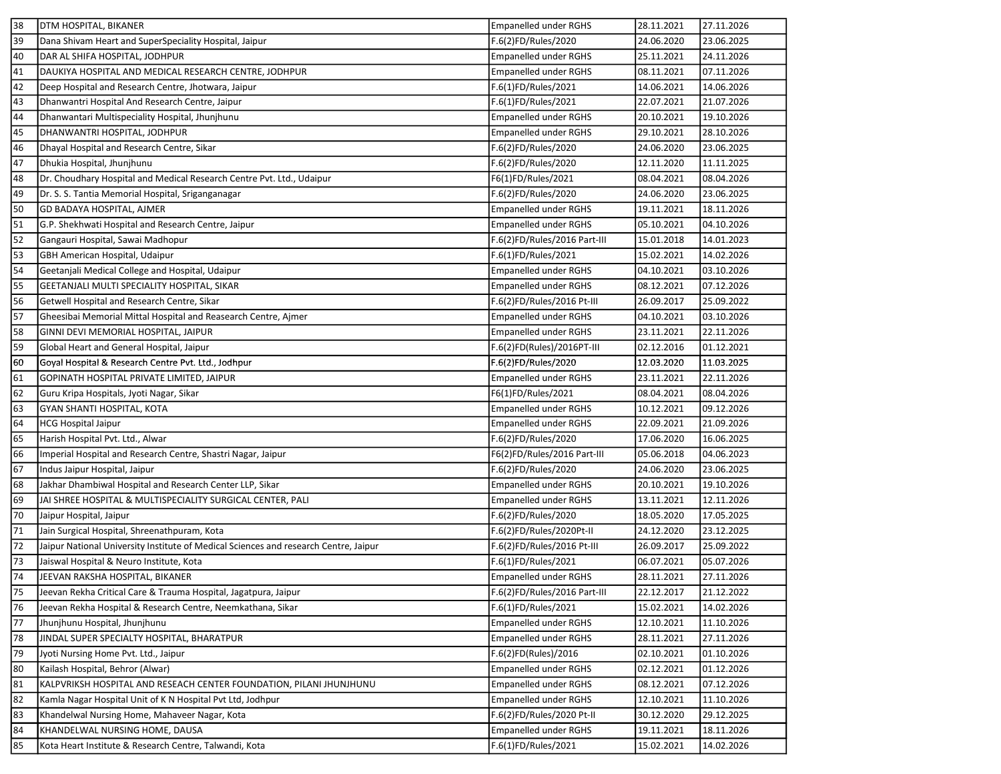| 38 | DTM HOSPITAL, BIKANER                                                                | Empanelled under RGHS        | 28.11.2021 | 27.11.2026 |
|----|--------------------------------------------------------------------------------------|------------------------------|------------|------------|
| 39 | Dana Shivam Heart and SuperSpeciality Hospital, Jaipur                               | F.6(2)FD/Rules/2020          | 24.06.2020 | 23.06.2025 |
| 40 | DAR AL SHIFA HOSPITAL, JODHPUR                                                       | <b>Empanelled under RGHS</b> | 25.11.2021 | 24.11.2026 |
| 41 | DAUKIYA HOSPITAL AND MEDICAL RESEARCH CENTRE, JODHPUR                                | <b>Empanelled under RGHS</b> | 08.11.2021 | 07.11.2026 |
| 42 | Deep Hospital and Research Centre, Jhotwara, Jaipur                                  | F.6(1)FD/Rules/2021          | 14.06.2021 | 14.06.2026 |
| 43 | Dhanwantri Hospital And Research Centre, Jaipur                                      | F.6(1)FD/Rules/2021          | 22.07.2021 | 21.07.2026 |
| 44 | Dhanwantari Multispeciality Hospital, Jhunjhunu                                      | <b>Empanelled under RGHS</b> | 20.10.2021 | 19.10.2026 |
| 45 | DHANWANTRI HOSPITAL, JODHPUR                                                         | <b>Empanelled under RGHS</b> | 29.10.2021 | 28.10.2026 |
| 46 | Dhayal Hospital and Research Centre, Sikar                                           | F.6(2)FD/Rules/2020          | 24.06.2020 | 23.06.2025 |
| 47 | Dhukia Hospital, Jhunjhunu                                                           | F.6(2)FD/Rules/2020          | 12.11.2020 | 11.11.2025 |
| 48 | Dr. Choudhary Hospital and Medical Research Centre Pvt. Ltd., Udaipur                | F6(1)FD/Rules/2021           | 08.04.2021 | 08.04.2026 |
| 49 | Dr. S. S. Tantia Memorial Hospital, Sriganganagar                                    | F.6(2)FD/Rules/2020          | 24.06.2020 | 23.06.2025 |
| 50 | GD BADAYA HOSPITAL, AJMER                                                            | <b>Empanelled under RGHS</b> | 19.11.2021 | 18.11.2026 |
| 51 | G.P. Shekhwati Hospital and Research Centre, Jaipur                                  | Empanelled under RGHS        | 05.10.2021 | 04.10.2026 |
| 52 | Gangauri Hospital, Sawai Madhopur                                                    | F.6(2)FD/Rules/2016 Part-III | 15.01.2018 | 14.01.2023 |
| 53 | GBH American Hospital, Udaipur                                                       | F.6(1)FD/Rules/2021          | 15.02.2021 | 14.02.2026 |
| 54 | Geetanjali Medical College and Hospital, Udaipur                                     | Empanelled under RGHS        | 04.10.2021 | 03.10.2026 |
| 55 | GEETANJALI MULTI SPECIALITY HOSPITAL, SIKAR                                          | Empanelled under RGHS        | 08.12.2021 | 07.12.2026 |
| 56 | Getwell Hospital and Research Centre, Sikar                                          | F.6(2)FD/Rules/2016 Pt-III   | 26.09.2017 | 25.09.2022 |
| 57 | Gheesibai Memorial Mittal Hospital and Reasearch Centre, Ajmer                       | Empanelled under RGHS        | 04.10.2021 | 03.10.2026 |
| 58 | GINNI DEVI MEMORIAL HOSPITAL, JAIPUR                                                 | Empanelled under RGHS        | 23.11.2021 | 22.11.2026 |
| 59 | Global Heart and General Hospital, Jaipur                                            | F.6(2)FD(Rules)/2016PT-III   | 02.12.2016 | 01.12.2021 |
| 60 | Goyal Hospital & Research Centre Pvt. Ltd., Jodhpur                                  | F.6(2)FD/Rules/2020          | 12.03.2020 | 11.03.2025 |
| 61 | GOPINATH HOSPITAL PRIVATE LIMITED, JAIPUR                                            | <b>Empanelled under RGHS</b> | 23.11.2021 | 22.11.2026 |
| 62 | Guru Kripa Hospitals, Jyoti Nagar, Sikar                                             | F6(1)FD/Rules/2021           | 08.04.2021 | 08.04.2026 |
| 63 | GYAN SHANTI HOSPITAL, KOTA                                                           | Empanelled under RGHS        | 10.12.2021 | 09.12.2026 |
| 64 | <b>HCG Hospital Jaipur</b>                                                           | <b>Empanelled under RGHS</b> | 22.09.2021 | 21.09.2026 |
| 65 | Harish Hospital Pvt. Ltd., Alwar                                                     | F.6(2)FD/Rules/2020          | 17.06.2020 | 16.06.2025 |
| 66 | Imperial Hospital and Research Centre, Shastri Nagar, Jaipur                         | F6(2)FD/Rules/2016 Part-III  | 05.06.2018 | 04.06.2023 |
| 67 | Indus Jaipur Hospital, Jaipur                                                        | F.6(2)FD/Rules/2020          | 24.06.2020 | 23.06.2025 |
| 68 | Jakhar Dhambiwal Hospital and Research Center LLP, Sikar                             | Empanelled under RGHS        | 20.10.2021 | 19.10.2026 |
| 69 | JAI SHREE HOSPITAL & MULTISPECIALITY SURGICAL CENTER, PALI                           | <b>Empanelled under RGHS</b> | 13.11.2021 | 12.11.2026 |
| 70 | Jaipur Hospital, Jaipur                                                              | F.6(2)FD/Rules/2020          | 18.05.2020 | 17.05.2025 |
| 71 | Jain Surgical Hospital, Shreenathpuram, Kota                                         | F.6(2)FD/Rules/2020Pt-II     | 24.12.2020 | 23.12.2025 |
| 72 | Jaipur National University Institute of Medical Sciences and research Centre, Jaipur | F.6(2)FD/Rules/2016 Pt-III   | 26.09.2017 | 25.09.2022 |
| 73 | Jaiswal Hospital & Neuro Institute, Kota                                             | F.6(1)FD/Rules/2021          | 06.07.2021 | 05.07.2026 |
| 74 | JEEVAN RAKSHA HOSPITAL, BIKANER                                                      | <b>Empanelled under RGHS</b> | 28.11.2021 | 27.11.2026 |
| 75 | Jeevan Rekha Critical Care & Trauma Hospital, Jagatpura, Jaipur                      | F.6(2)FD/Rules/2016 Part-III | 22.12.2017 | 21.12.2022 |
| 76 | Jeevan Rekha Hospital & Research Centre, Neemkathana, Sikar                          | F.6(1)FD/Rules/2021          | 15.02.2021 | 14.02.2026 |
| 77 | Jhunjhunu Hospital, Jhunjhunu                                                        | <b>Empanelled under RGHS</b> | 12.10.2021 | 11.10.2026 |
| 78 | JINDAL SUPER SPECIALTY HOSPITAL, BHARATPUR                                           | Empanelled under RGHS        | 28.11.2021 | 27.11.2026 |
| 79 | Jyoti Nursing Home Pvt. Ltd., Jaipur                                                 | F.6(2)FD(Rules)/2016         | 02.10.2021 | 01.10.2026 |
| 80 | Kailash Hospital, Behror (Alwar)                                                     | <b>Empanelled under RGHS</b> | 02.12.2021 | 01.12.2026 |
| 81 | KALPVRIKSH HOSPITAL AND RESEACH CENTER FOUNDATION, PILANI JHUNJHUNU                  | <b>Empanelled under RGHS</b> | 08.12.2021 | 07.12.2026 |
| 82 | Kamla Nagar Hospital Unit of K N Hospital Pvt Ltd, Jodhpur                           | Empanelled under RGHS        | 12.10.2021 | 11.10.2026 |
| 83 | Khandelwal Nursing Home, Mahaveer Nagar, Kota                                        | F.6(2)FD/Rules/2020 Pt-II    | 30.12.2020 | 29.12.2025 |
| 84 | KHANDELWAL NURSING HOME, DAUSA                                                       | <b>Empanelled under RGHS</b> | 19.11.2021 | 18.11.2026 |
| 85 | Kota Heart Institute & Research Centre, Talwandi, Kota                               | F.6(1)FD/Rules/2021          | 15.02.2021 | 14.02.2026 |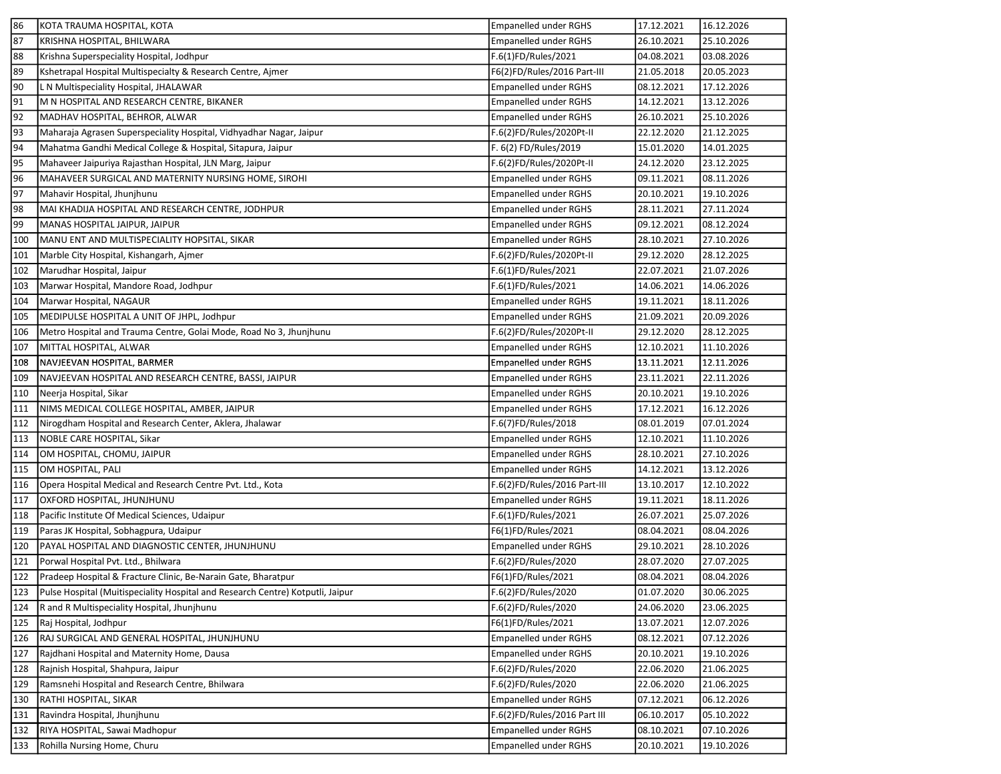| 86  | KOTA TRAUMA HOSPITAL, KOTA                                                     | <b>Empanelled under RGHS</b> | 17.12.2021 | 16.12.2026 |
|-----|--------------------------------------------------------------------------------|------------------------------|------------|------------|
| 87  | KRISHNA HOSPITAL, BHILWARA                                                     | Empanelled under RGHS        | 26.10.2021 | 25.10.2026 |
| 88  | Krishna Superspeciality Hospital, Jodhpur                                      | F.6(1)FD/Rules/2021          | 04.08.2021 | 03.08.2026 |
| 89  | Kshetrapal Hospital Multispecialty & Research Centre, Ajmer                    | F6(2)FD/Rules/2016 Part-III  | 21.05.2018 | 20.05.2023 |
| 90  | L N Multispeciality Hospital, JHALAWAR                                         | <b>Empanelled under RGHS</b> | 08.12.2021 | 17.12.2026 |
| 91  | M N HOSPITAL AND RESEARCH CENTRE, BIKANER                                      | <b>Empanelled under RGHS</b> | 14.12.2021 | 13.12.2026 |
| 92  | MADHAV HOSPITAL, BEHROR, ALWAR                                                 | Empanelled under RGHS        | 26.10.2021 | 25.10.2026 |
| 93  | Maharaja Agrasen Superspeciality Hospital, Vidhyadhar Nagar, Jaipur            | F.6(2)FD/Rules/2020Pt-II     | 22.12.2020 | 21.12.2025 |
| 94  | Mahatma Gandhi Medical College & Hospital, Sitapura, Jaipur                    | F. 6(2) FD/Rules/2019        | 15.01.2020 | 14.01.2025 |
| 95  | Mahaveer Jaipuriya Rajasthan Hospital, JLN Marg, Jaipur                        | F.6(2)FD/Rules/2020Pt-II     | 24.12.2020 | 23.12.2025 |
| 96  | MAHAVEER SURGICAL AND MATERNITY NURSING HOME, SIROHI                           | <b>Empanelled under RGHS</b> | 09.11.2021 | 08.11.2026 |
| 97  | Mahavir Hospital, Jhunjhunu                                                    | Empanelled under RGHS        | 20.10.2021 | 19.10.2026 |
| 98  | MAI KHADIJA HOSPITAL AND RESEARCH CENTRE, JODHPUR                              | <b>Empanelled under RGHS</b> | 28.11.2021 | 27.11.2024 |
| 99  | MANAS HOSPITAL JAIPUR, JAIPUR                                                  | Empanelled under RGHS        | 09.12.2021 | 08.12.2024 |
| 100 | MANU ENT AND MULTISPECIALITY HOPSITAL, SIKAR                                   | <b>Empanelled under RGHS</b> | 28.10.2021 | 27.10.2026 |
| 101 | Marble City Hospital, Kishangarh, Ajmer                                        | F.6(2)FD/Rules/2020Pt-II     | 29.12.2020 | 28.12.2025 |
| 102 | Marudhar Hospital, Jaipur                                                      | F.6(1)FD/Rules/2021          | 22.07.2021 | 21.07.2026 |
| 103 | Marwar Hospital, Mandore Road, Jodhpur                                         | F.6(1)FD/Rules/2021          | 14.06.2021 | 14.06.2026 |
| 104 | Marwar Hospital, NAGAUR                                                        | Empanelled under RGHS        | 19.11.2021 | 18.11.2026 |
| 105 | MEDIPULSE HOSPITAL A UNIT OF JHPL, Jodhpur                                     | Empanelled under RGHS        | 21.09.2021 | 20.09.2026 |
| 106 | Metro Hospital and Trauma Centre, Golai Mode, Road No 3, Jhunjhunu             | F.6(2)FD/Rules/2020Pt-II     | 29.12.2020 | 28.12.2025 |
| 107 | MITTAL HOSPITAL, ALWAR                                                         | Empanelled under RGHS        | 12.10.2021 | 11.10.2026 |
| 108 | NAVJEEVAN HOSPITAL, BARMER                                                     | <b>Empanelled under RGHS</b> | 13.11.2021 | 12.11.2026 |
| 109 | NAVJEEVAN HOSPITAL AND RESEARCH CENTRE, BASSI, JAIPUR                          | Empanelled under RGHS        | 23.11.2021 | 22.11.2026 |
| 110 | Neerja Hospital, Sikar                                                         | Empanelled under RGHS        | 20.10.2021 | 19.10.2026 |
| 111 | NIMS MEDICAL COLLEGE HOSPITAL, AMBER, JAIPUR                                   | Empanelled under RGHS        | 17.12.2021 | 16.12.2026 |
| 112 | Nirogdham Hospital and Research Center, Aklera, Jhalawar                       | F.6(7)FD/Rules/2018          | 08.01.2019 | 07.01.2024 |
| 113 | NOBLE CARE HOSPITAL, Sikar                                                     | Empanelled under RGHS        | 12.10.2021 | 11.10.2026 |
| 114 | OM HOSPITAL, CHOMU, JAIPUR                                                     | <b>Empanelled under RGHS</b> | 28.10.2021 | 27.10.2026 |
| 115 | OM HOSPITAL, PALI                                                              | Empanelled under RGHS        | 14.12.2021 | 13.12.2026 |
| 116 | Opera Hospital Medical and Research Centre Pvt. Ltd., Kota                     | F.6(2)FD/Rules/2016 Part-III | 13.10.2017 | 12.10.2022 |
| 117 | OXFORD HOSPITAL, JHUNJHUNU                                                     | Empanelled under RGHS        | 19.11.2021 | 18.11.2026 |
| 118 | Pacific Institute Of Medical Sciences, Udaipur                                 | F.6(1)FD/Rules/2021          | 26.07.2021 | 25.07.2026 |
| 119 | Paras JK Hospital, Sobhagpura, Udaipur                                         | F6(1)FD/Rules/2021           | 08.04.2021 | 08.04.2026 |
| 120 | PAYAL HOSPITAL AND DIAGNOSTIC CENTER, JHUNJHUNU                                | <b>Empanelled under RGHS</b> | 29.10.2021 | 28.10.2026 |
| 121 | Porwal Hospital Pvt. Ltd., Bhilwara                                            | F.6(2)FD/Rules/2020          | 28.07.2020 | 27.07.2025 |
| 122 | Pradeep Hospital & Fracture Clinic, Be-Narain Gate, Bharatpur                  | F6(1)FD/Rules/2021           | 08.04.2021 | 08.04.2026 |
| 123 | Pulse Hospital (Muitispeciality Hospital and Research Centre) Kotputli, Jaipur | F.6(2)FD/Rules/2020          | 01.07.2020 | 30.06.2025 |
| 124 | R and R Multispeciality Hospital, Jhunjhunu                                    | F.6(2)FD/Rules/2020          | 24.06.2020 | 23.06.2025 |
| 125 | Raj Hospital, Jodhpur                                                          | F6(1)FD/Rules/2021           | 13.07.2021 | 12.07.2026 |
| 126 | RAJ SURGICAL AND GENERAL HOSPITAL, JHUNJHUNU                                   | <b>Empanelled under RGHS</b> | 08.12.2021 | 07.12.2026 |
| 127 | Rajdhani Hospital and Maternity Home, Dausa                                    | <b>Empanelled under RGHS</b> | 20.10.2021 | 19.10.2026 |
| 128 | Rajnish Hospital, Shahpura, Jaipur                                             | F.6(2)FD/Rules/2020          | 22.06.2020 | 21.06.2025 |
| 129 | Ramsnehi Hospital and Research Centre, Bhilwara                                | F.6(2)FD/Rules/2020          | 22.06.2020 | 21.06.2025 |
| 130 | RATHI HOSPITAL, SIKAR                                                          | <b>Empanelled under RGHS</b> | 07.12.2021 | 06.12.2026 |
| 131 | Ravindra Hospital, Jhunjhunu                                                   | F.6(2)FD/Rules/2016 Part III | 06.10.2017 | 05.10.2022 |
| 132 | RIYA HOSPITAL, Sawai Madhopur                                                  | Empanelled under RGHS        | 08.10.2021 | 07.10.2026 |
| 133 | Rohilla Nursing Home, Churu                                                    | <b>Empanelled under RGHS</b> | 20.10.2021 | 19.10.2026 |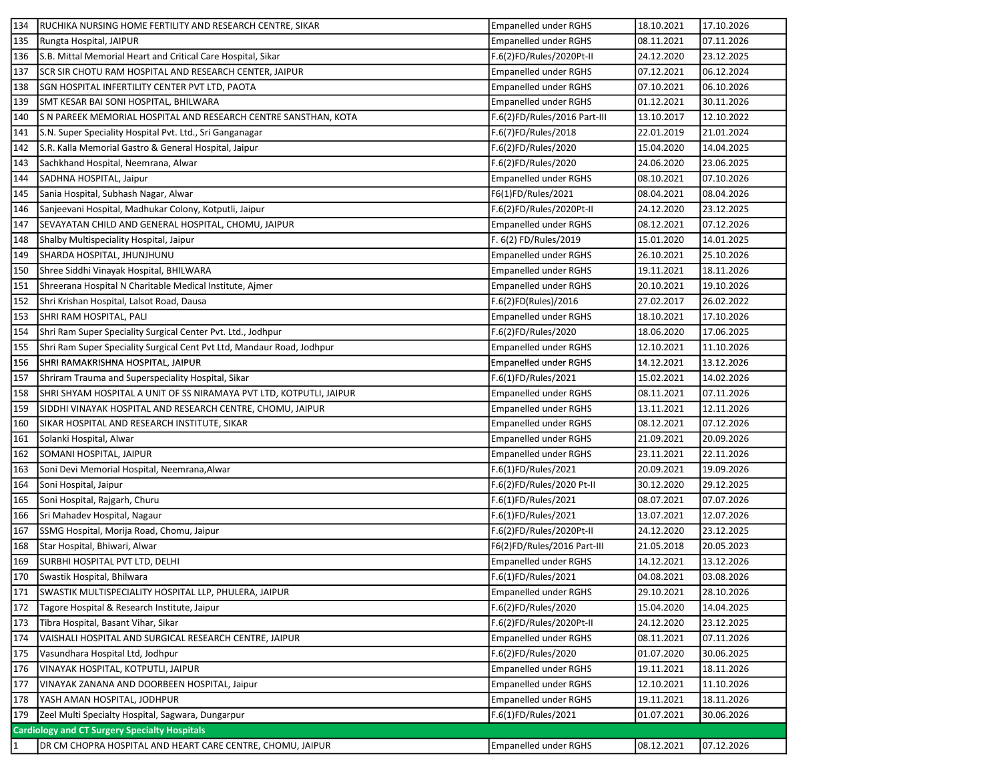| 134 | RUCHIKA NURSING HOME FERTILITY AND RESEARCH CENTRE, SIKAR              | Empanelled under RGHS        | 18.10.2021 | 17.10.2026 |
|-----|------------------------------------------------------------------------|------------------------------|------------|------------|
| 135 | Rungta Hospital, JAIPUR                                                | Empanelled under RGHS        | 08.11.2021 | 07.11.2026 |
| 136 | S.B. Mittal Memorial Heart and Critical Care Hospital, Sikar           | F.6(2)FD/Rules/2020Pt-II     | 24.12.2020 | 23.12.2025 |
| 137 | SCR SIR CHOTU RAM HOSPITAL AND RESEARCH CENTER, JAIPUR                 | <b>Empanelled under RGHS</b> | 07.12.2021 | 06.12.2024 |
| 138 | SGN HOSPITAL INFERTILITY CENTER PVT LTD, PAOTA                         | <b>Empanelled under RGHS</b> | 07.10.2021 | 06.10.2026 |
| 139 | SMT KESAR BAI SONI HOSPITAL, BHILWARA                                  | <b>Empanelled under RGHS</b> | 01.12.2021 | 30.11.2026 |
| 140 | S N PAREEK MEMORIAL HOSPITAL AND RESEARCH CENTRE SANSTHAN, KOTA        | F.6(2)FD/Rules/2016 Part-III | 13.10.2017 | 12.10.2022 |
| 141 | S.N. Super Speciality Hospital Pvt. Ltd., Sri Ganganagar               | F.6(7)FD/Rules/2018          | 22.01.2019 | 21.01.2024 |
| 142 | S.R. Kalla Memorial Gastro & General Hospital, Jaipur                  | F.6(2)FD/Rules/2020          | 15.04.2020 | 14.04.2025 |
| 143 | Sachkhand Hospital, Neemrana, Alwar                                    | F.6(2)FD/Rules/2020          | 24.06.2020 | 23.06.2025 |
| 144 | SADHNA HOSPITAL, Jaipur                                                | <b>Empanelled under RGHS</b> | 08.10.2021 | 07.10.2026 |
| 145 | Sania Hospital, Subhash Nagar, Alwar                                   | F6(1)FD/Rules/2021           | 08.04.2021 | 08.04.2026 |
| 146 | Sanjeevani Hospital, Madhukar Colony, Kotputli, Jaipur                 | F.6(2)FD/Rules/2020Pt-II     | 24.12.2020 | 23.12.2025 |
| 147 | SEVAYATAN CHILD AND GENERAL HOSPITAL, CHOMU, JAIPUR                    | <b>Empanelled under RGHS</b> | 08.12.2021 | 07.12.2026 |
| 148 | Shalby Multispeciality Hospital, Jaipur                                | F. 6(2) FD/Rules/2019        | 15.01.2020 | 14.01.2025 |
| 149 | SHARDA HOSPITAL, JHUNJHUNU                                             | Empanelled under RGHS        | 26.10.2021 | 25.10.2026 |
| 150 | Shree Siddhi Vinayak Hospital, BHILWARA                                | <b>Empanelled under RGHS</b> | 19.11.2021 | 18.11.2026 |
| 151 | Shreerana Hospital N Charitable Medical Institute, Ajmer               | <b>Empanelled under RGHS</b> | 20.10.2021 | 19.10.2026 |
| 152 | Shri Krishan Hospital, Lalsot Road, Dausa                              | F.6(2)FD(Rules)/2016         | 27.02.2017 | 26.02.2022 |
| 153 | SHRI RAM HOSPITAL, PALI                                                | Empanelled under RGHS        | 18.10.2021 | 17.10.2026 |
| 154 | Shri Ram Super Speciality Surgical Center Pvt. Ltd., Jodhpur           | F.6(2)FD/Rules/2020          | 18.06.2020 | 17.06.2025 |
| 155 | Shri Ram Super Speciality Surgical Cent Pvt Ltd, Mandaur Road, Jodhpur | Empanelled under RGHS        | 12.10.2021 | 11.10.2026 |
| 156 | SHRI RAMAKRISHNA HOSPITAL, JAIPUR                                      | Empanelled under RGHS        | 14.12.2021 | 13.12.2026 |
| 157 | Shriram Trauma and Superspeciality Hospital, Sikar                     | F.6(1)FD/Rules/2021          | 15.02.2021 | 14.02.2026 |
| 158 | SHRI SHYAM HOSPITAL A UNIT OF SS NIRAMAYA PVT LTD, KOTPUTLI, JAIPUR    | Empanelled under RGHS        | 08.11.2021 | 07.11.2026 |
| 159 | SIDDHI VINAYAK HOSPITAL AND RESEARCH CENTRE, CHOMU, JAIPUR             | Empanelled under RGHS        | 13.11.2021 | 12.11.2026 |
| 160 | SIKAR HOSPITAL AND RESEARCH INSTITUTE, SIKAR                           | <b>Empanelled under RGHS</b> | 08.12.2021 | 07.12.2026 |
| 161 | Solanki Hospital, Alwar                                                | Empanelled under RGHS        | 21.09.2021 | 20.09.2026 |
| 162 | SOMANI HOSPITAL, JAIPUR                                                | Empanelled under RGHS        | 23.11.2021 | 22.11.2026 |
| 163 | Soni Devi Memorial Hospital, Neemrana, Alwar                           | F.6(1)FD/Rules/2021          | 20.09.2021 | 19.09.2026 |
| 164 | Soni Hospital, Jaipur                                                  | F.6(2)FD/Rules/2020 Pt-II    | 30.12.2020 | 29.12.2025 |
| 165 | Soni Hospital, Rajgarh, Churu                                          | F.6(1)FD/Rules/2021          | 08.07.2021 | 07.07.2026 |
| 166 | Sri Mahadev Hospital, Nagaur                                           | F.6(1)FD/Rules/2021          | 13.07.2021 | 12.07.2026 |
| 167 | SSMG Hospital, Morija Road, Chomu, Jaipur                              | F.6(2)FD/Rules/2020Pt-II     | 24.12.2020 | 23.12.2025 |
| 168 | Star Hospital, Bhiwari, Alwar                                          | F6(2)FD/Rules/2016 Part-III  | 21.05.2018 | 20.05.2023 |
| 169 | SURBHI HOSPITAL PVT LTD, DELHI                                         | <b>Empanelled under RGHS</b> | 14.12.2021 | 13.12.2026 |
| 170 | Swastik Hospital, Bhilwara                                             | F.6(1)FD/Rules/2021          | 04.08.2021 | 03.08.2026 |
| 171 | <b>SWASTIK MULTISPECIALITY HOSPITAL LLP, PHULERA, JAIPUR</b>           | <b>Empanelled under RGHS</b> | 29.10.2021 | 28.10.2026 |
| 172 | Tagore Hospital & Research Institute, Jaipur                           | F.6(2)FD/Rules/2020          | 15.04.2020 | 14.04.2025 |
| 173 | Tibra Hospital, Basant Vihar, Sikar                                    | F.6(2)FD/Rules/2020Pt-II     | 24.12.2020 | 23.12.2025 |
| 174 | VAISHALI HOSPITAL AND SURGICAL RESEARCH CENTRE, JAIPUR                 | <b>Empanelled under RGHS</b> | 08.11.2021 | 07.11.2026 |
| 175 | Vasundhara Hospital Ltd, Jodhpur                                       | F.6(2)FD/Rules/2020          | 01.07.2020 | 30.06.2025 |
| 176 | VINAYAK HOSPITAL, KOTPUTLI, JAIPUR                                     | <b>Empanelled under RGHS</b> | 19.11.2021 | 18.11.2026 |
| 177 | VINAYAK ZANANA AND DOORBEEN HOSPITAL, Jaipur                           | <b>Empanelled under RGHS</b> | 12.10.2021 | 11.10.2026 |
| 178 | YASH AMAN HOSPITAL, JODHPUR                                            | Empanelled under RGHS        | 19.11.2021 | 18.11.2026 |
| 179 | Zeel Multi Specialty Hospital, Sagwara, Dungarpur                      | F.6(1)FD/Rules/2021          | 01.07.2021 | 30.06.2026 |
|     | <b>Cardiology and CT Surgery Specialty Hospitals</b>                   |                              |            |            |
|     | DR CM CHOPRA HOSPITAL AND HEART CARE CENTRE, CHOMU, JAIPUR             | Empanelled under RGHS        | 08.12.2021 | 07.12.2026 |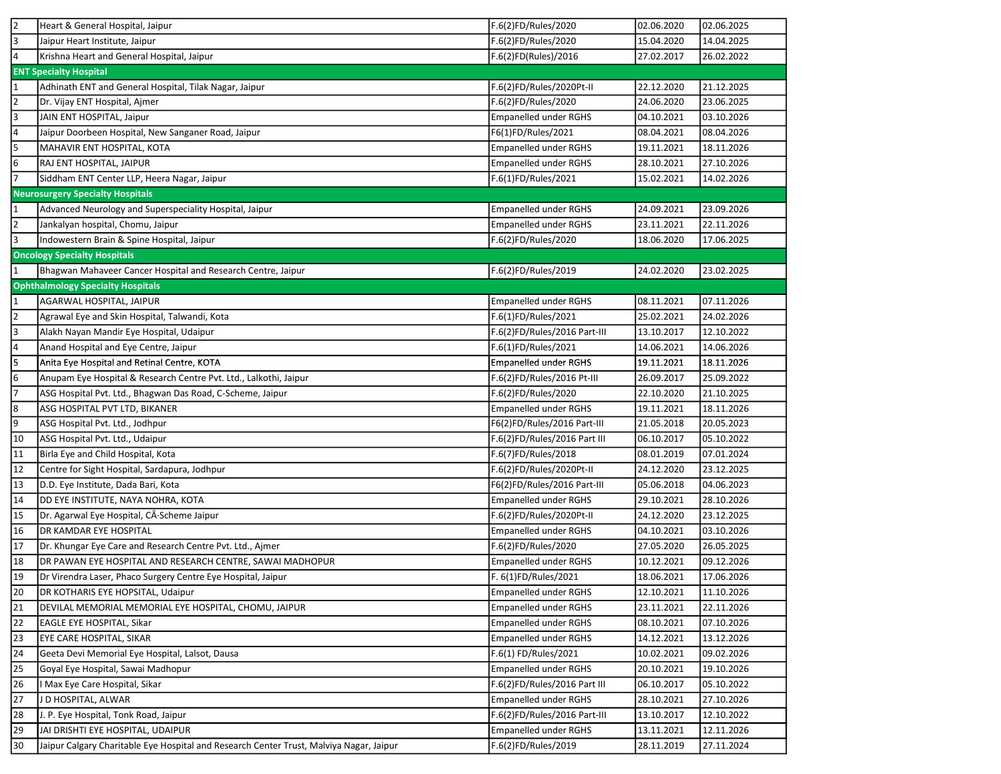| 2              | Heart & General Hospital, Jaipur                                                        | F.6(2)FD/Rules/2020          | 02.06.2020 | 02.06.2025 |
|----------------|-----------------------------------------------------------------------------------------|------------------------------|------------|------------|
| Iз             | Jaipur Heart Institute, Jaipur                                                          | F.6(2)FD/Rules/2020          | 15.04.2020 | 14.04.2025 |
| 14             | Krishna Heart and General Hospital, Jaipur                                              | F.6(2)FD(Rules)/2016         | 27.02.2017 | 26.02.2022 |
|                | <b>ENT Specialty Hospital</b>                                                           |                              |            |            |
| $\mathbf{1}$   | Adhinath ENT and General Hospital, Tilak Nagar, Jaipur                                  | F.6(2)FD/Rules/2020Pt-II     | 22.12.2020 | 21.12.2025 |
| 2              | Dr. Vijay ENT Hospital, Ajmer                                                           | F.6(2)FD/Rules/2020          | 24.06.2020 | 23.06.2025 |
| Iз             | JAIN ENT HOSPITAL, Jaipur                                                               | Empanelled under RGHS        | 04.10.2021 | 03.10.2026 |
| $\overline{a}$ | Jaipur Doorbeen Hospital, New Sanganer Road, Jaipur                                     | F6(1)FD/Rules/2021           | 08.04.2021 | 08.04.2026 |
| 5              | MAHAVIR ENT HOSPITAL, KOTA                                                              | <b>Empanelled under RGHS</b> | 19.11.2021 | 18.11.2026 |
| 6              | RAJ ENT HOSPITAL, JAIPUR                                                                | <b>Empanelled under RGHS</b> | 28.10.2021 | 27.10.2026 |
| $\overline{7}$ | Siddham ENT Center LLP, Heera Nagar, Jaipur                                             | F.6(1)FD/Rules/2021          | 15.02.2021 | 14.02.2026 |
|                | <b>Neurosurgery Specialty Hospitals</b>                                                 |                              |            |            |
| $\overline{1}$ | Advanced Neurology and Superspeciality Hospital, Jaipur                                 | <b>Empanelled under RGHS</b> | 24.09.2021 | 23.09.2026 |
| 12             | Jankalyan hospital, Chomu, Jaipur                                                       | <b>Empanelled under RGHS</b> | 23.11.2021 | 22.11.2026 |
| l3             | Indowestern Brain & Spine Hospital, Jaipur                                              | F.6(2)FD/Rules/2020          | 18.06.2020 | 17.06.2025 |
|                | <b>Oncology Specialty Hospitals</b>                                                     |                              |            |            |
|                | Bhagwan Mahaveer Cancer Hospital and Research Centre, Jaipur                            | F.6(2)FD/Rules/2019          | 24.02.2020 | 23.02.2025 |
|                | <b>Ophthalmology Specialty Hospitals</b>                                                |                              |            |            |
|                | AGARWAL HOSPITAL, JAIPUR                                                                | Empanelled under RGHS        | 08.11.2021 | 07.11.2026 |
| 2              | Agrawal Eye and Skin Hospital, Talwandi, Kota                                           | F.6(1)FD/Rules/2021          | 25.02.2021 | 24.02.2026 |
| 3              | Alakh Nayan Mandir Eye Hospital, Udaipur                                                | F.6(2)FD/Rules/2016 Part-III | 13.10.2017 | 12.10.2022 |
| 4              | Anand Hospital and Eye Centre, Jaipur                                                   | F.6(1)FD/Rules/2021          | 14.06.2021 | 14.06.2026 |
| l5             | Anita Eye Hospital and Retinal Centre, KOTA                                             | <b>Empanelled under RGHS</b> | 19.11.2021 | 18.11.2026 |
| 6              | Anupam Eye Hospital & Research Centre Pvt. Ltd., Lalkothi, Jaipur                       | F.6(2)FD/Rules/2016 Pt-III   | 26.09.2017 | 25.09.2022 |
| $\overline{7}$ | ASG Hospital Pvt. Ltd., Bhagwan Das Road, C-Scheme, Jaipur                              | F.6(2)FD/Rules/2020          | 22.10.2020 | 21.10.2025 |
| 8              | ASG HOSPITAL PVT LTD, BIKANER                                                           | Empanelled under RGHS        | 19.11.2021 | 18.11.2026 |
| و              | ASG Hospital Pvt. Ltd., Jodhpur                                                         | F6(2)FD/Rules/2016 Part-III  | 21.05.2018 | 20.05.2023 |
| 10             | ASG Hospital Pvt. Ltd., Udaipur                                                         | F.6(2)FD/Rules/2016 Part III | 06.10.2017 | 05.10.2022 |
| 11             | Birla Eye and Child Hospital, Kota                                                      | F.6(7)FD/Rules/2018          | 08.01.2019 | 07.01.2024 |
| 12             | Centre for Sight Hospital, Sardapura, Jodhpur                                           | F.6(2)FD/Rules/2020Pt-II     | 24.12.2020 | 23.12.2025 |
| 13             | D.D. Eye Institute, Dada Bari, Kota                                                     | F6(2)FD/Rules/2016 Part-III  | 05.06.2018 | 04.06.2023 |
| 14             | DD EYE INSTITUTE, NAYA NOHRA, KOTA                                                      | <b>Empanelled under RGHS</b> | 29.10.2021 | 28.10.2026 |
| 15             | Dr. Agarwal Eye Hospital, C·Scheme Jaipur                                               | F.6(2)FD/Rules/2020Pt-II     | 24.12.2020 | 23.12.2025 |
| 16             | DR KAMDAR EYE HOSPITAL                                                                  | Empanelled under RGHS        | 04.10.2021 | 03.10.2026 |
| 17             | Dr. Khungar Eye Care and Research Centre Pvt. Ltd., Ajmer                               | F.6(2)FD/Rules/2020          | 27.05.2020 | 26.05.2025 |
| 18             | DR PAWAN EYE HOSPITAL AND RESEARCH CENTRE, SAWAI MADHOPUR                               | <b>Empanelled under RGHS</b> | 10.12.2021 | 09.12.2026 |
| 19             | Dr Virendra Laser, Phaco Surgery Centre Eye Hospital, Jaipur                            | F. 6(1)FD/Rules/2021         | 18.06.2021 | 17.06.2026 |
| 20             | DR KOTHARIS EYE HOPSITAL, Udaipur                                                       | Empanelled under RGHS        | 12.10.2021 | 11.10.2026 |
| 21             | DEVILAL MEMORIAL MEMORIAL EYE HOSPITAL, CHOMU, JAIPUR                                   | <b>Empanelled under RGHS</b> | 23.11.2021 | 22.11.2026 |
| 22             | EAGLE EYE HOSPITAL, Sikar                                                               | <b>Empanelled under RGHS</b> | 08.10.2021 | 07.10.2026 |
| 23             | EYE CARE HOSPITAL, SIKAR                                                                | <b>Empanelled under RGHS</b> | 14.12.2021 | 13.12.2026 |
| 24             | Geeta Devi Memorial Eye Hospital, Lalsot, Dausa                                         | F.6(1) FD/Rules/2021         | 10.02.2021 | 09.02.2026 |
| 25             | Goyal Eye Hospital, Sawai Madhopur                                                      | <b>Empanelled under RGHS</b> | 20.10.2021 | 19.10.2026 |
| 26             | I Max Eye Care Hospital, Sikar                                                          | F.6(2)FD/Rules/2016 Part III | 06.10.2017 | 05.10.2022 |
| 27             | J D HOSPITAL, ALWAR                                                                     | Empanelled under RGHS        | 28.10.2021 | 27.10.2026 |
| 28             | J. P. Eye Hospital, Tonk Road, Jaipur                                                   | F.6(2)FD/Rules/2016 Part-III | 13.10.2017 | 12.10.2022 |
| 29             | JAI DRISHTI EYE HOSPITAL, UDAIPUR                                                       | Empanelled under RGHS        | 13.11.2021 | 12.11.2026 |
| 30             | Jaipur Calgary Charitable Eye Hospital and Research Center Trust, Malviya Nagar, Jaipur | F.6(2)FD/Rules/2019          | 28.11.2019 | 27.11.2024 |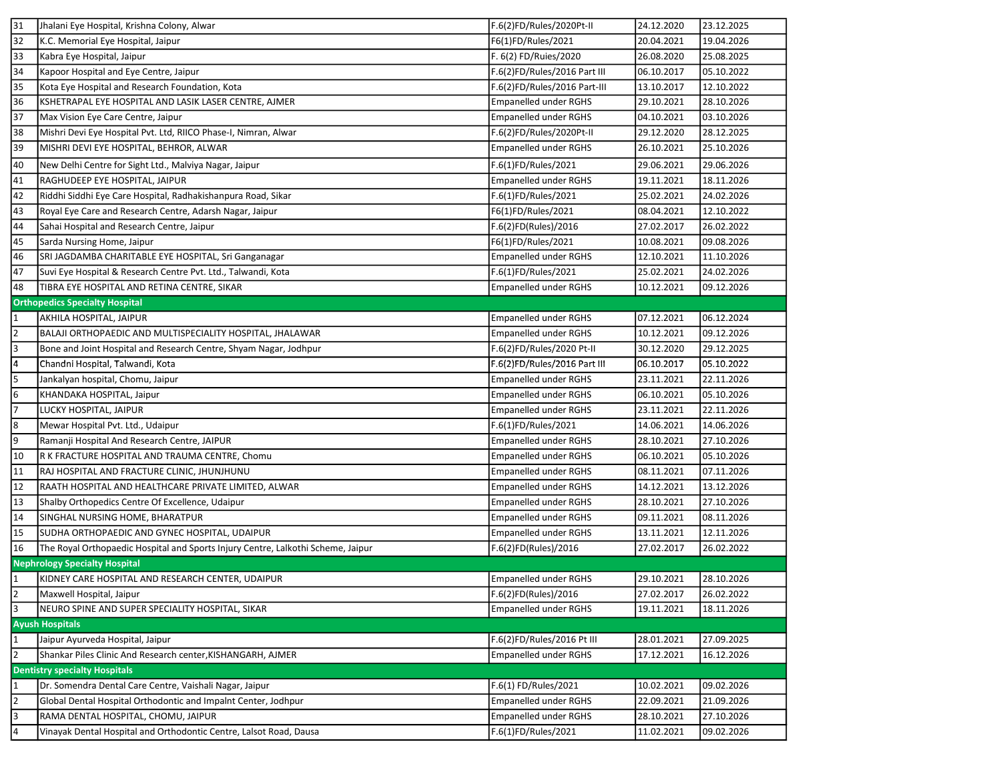| 31             | Jhalani Eye Hospital, Krishna Colony, Alwar                                      | F.6(2)FD/Rules/2020Pt-II     | 24.12.2020 | 23.12.2025 |
|----------------|----------------------------------------------------------------------------------|------------------------------|------------|------------|
| 32             | K.C. Memorial Eye Hospital, Jaipur                                               | F6(1)FD/Rules/2021           | 20.04.2021 | 19.04.2026 |
| 33             | Kabra Eye Hospital, Jaipur                                                       | F. 6(2) FD/Ruies/2020        | 26.08.2020 | 25.08.2025 |
| 34             | Kapoor Hospital and Eye Centre, Jaipur                                           | F.6(2)FD/Rules/2016 Part III | 06.10.2017 | 05.10.2022 |
| 35             | Kota Eye Hospital and Research Foundation, Kota                                  | F.6(2)FD/Rules/2016 Part-III | 13.10.2017 | 12.10.2022 |
| 36             | KSHETRAPAL EYE HOSPITAL AND LASIK LASER CENTRE, AJMER                            | <b>Empanelled under RGHS</b> | 29.10.2021 | 28.10.2026 |
| 37             | Max Vision Eye Care Centre, Jaipur                                               | <b>Empanelled under RGHS</b> | 04.10.2021 | 03.10.2026 |
| 38             | Mishri Devi Eye Hospital Pvt. Ltd, RIICO Phase-I, Nimran, Alwar                  | F.6(2)FD/Rules/2020Pt-II     | 29.12.2020 | 28.12.2025 |
| 39             | MISHRI DEVI EYE HOSPITAL, BEHROR, ALWAR                                          | <b>Empanelled under RGHS</b> | 26.10.2021 | 25.10.2026 |
| 40             | New Delhi Centre for Sight Ltd., Malviya Nagar, Jaipur                           | F.6(1)FD/Rules/2021          | 29.06.2021 | 29.06.2026 |
| 41             | RAGHUDEEP EYE HOSPITAL, JAIPUR                                                   | <b>Empanelled under RGHS</b> | 19.11.2021 | 18.11.2026 |
| 42             | Riddhi Siddhi Eye Care Hospital, Radhakishanpura Road, Sikar                     | F.6(1)FD/Rules/2021          | 25.02.2021 | 24.02.2026 |
| 43             | Royal Eye Care and Research Centre, Adarsh Nagar, Jaipur                         | F6(1)FD/Rules/2021           | 08.04.2021 | 12.10.2022 |
| 44             | Sahai Hospital and Research Centre, Jaipur                                       | F.6(2)FD(Rules)/2016         | 27.02.2017 | 26.02.2022 |
| 45             | Sarda Nursing Home, Jaipur                                                       | F6(1)FD/Rules/2021           | 10.08.2021 | 09.08.2026 |
| 46             | SRI JAGDAMBA CHARITABLE EYE HOSPITAL, Sri Ganganagar                             | <b>Empanelled under RGHS</b> | 12.10.2021 | 11.10.2026 |
| 47             | Suvi Eye Hospital & Research Centre Pvt. Ltd., Talwandi, Kota                    | F.6(1)FD/Rules/2021          | 25.02.2021 | 24.02.2026 |
| 48             | TIBRA EYE HOSPITAL AND RETINA CENTRE, SIKAR                                      | Empanelled under RGHS        | 10.12.2021 | 09.12.2026 |
|                | <b>Orthopedics Specialty Hospital</b>                                            |                              |            |            |
| 1              | AKHILA HOSPITAL, JAIPUR                                                          | Empanelled under RGHS        | 07.12.2021 | 06.12.2024 |
| I2             | BALAJI ORTHOPAEDIC AND MULTISPECIALITY HOSPITAL, JHALAWAR                        | <b>Empanelled under RGHS</b> | 10.12.2021 | 09.12.2026 |
| Iз             | Bone and Joint Hospital and Research Centre, Shyam Nagar, Jodhpur                | F.6(2)FD/Rules/2020 Pt-II    | 30.12.2020 | 29.12.2025 |
| 4              | Chandni Hospital, Talwandi, Kota                                                 | F.6(2)FD/Rules/2016 Part III | 06.10.2017 | 05.10.2022 |
| 5              | Jankalyan hospital, Chomu, Jaipur                                                | Empanelled under RGHS        | 23.11.2021 | 22.11.2026 |
| 6              | KHANDAKA HOSPITAL, Jaipur                                                        | Empanelled under RGHS        | 06.10.2021 | 05.10.2026 |
| 17             | LUCKY HOSPITAL, JAIPUR                                                           | Empanelled under RGHS        | 23.11.2021 | 22.11.2026 |
| 8              | Mewar Hospital Pvt. Ltd., Udaipur                                                | F.6(1)FD/Rules/2021          | 14.06.2021 | 14.06.2026 |
| 9              | Ramanji Hospital And Research Centre, JAIPUR                                     | Empanelled under RGHS        | 28.10.2021 | 27.10.2026 |
| 10             | R K FRACTURE HOSPITAL AND TRAUMA CENTRE, Chomu                                   | Empanelled under RGHS        | 06.10.2021 | 05.10.2026 |
| 11             | RAJ HOSPITAL AND FRACTURE CLINIC, JHUNJHUNU                                      | Empanelled under RGHS        | 08.11.2021 | 07.11.2026 |
| 12             | RAATH HOSPITAL AND HEALTHCARE PRIVATE LIMITED, ALWAR                             | <b>Empanelled under RGHS</b> | 14.12.2021 | 13.12.2026 |
| 13             | Shalby Orthopedics Centre Of Excellence, Udaipur                                 | Empanelled under RGHS        | 28.10.2021 | 27.10.2026 |
| 14             | SINGHAL NURSING HOME, BHARATPUR                                                  | <b>Empanelled under RGHS</b> | 09.11.2021 | 08.11.2026 |
| 15             | SUDHA ORTHOPAEDIC AND GYNEC HOSPITAL, UDAIPUR                                    | <b>Empanelled under RGHS</b> | 13.11.2021 | 12.11.2026 |
| 16             | The Royal Orthopaedic Hospital and Sports Injury Centre, Lalkothi Scheme, Jaipur | F.6(2)FD(Rules)/2016         | 27.02.2017 | 26.02.2022 |
|                | <b>Nephrology Specialty Hospital</b>                                             |                              |            |            |
| 11             | KIDNEY CARE HOSPITAL AND RESEARCH CENTER, UDAIPUR                                | Empanelled under RGHS        | 29.10.2021 | 28.10.2026 |
| 2              | Maxwell Hospital, Jaipur                                                         | F.6(2)FD(Rules)/2016         | 27.02.2017 | 26.02.2022 |
| Iз             | NEURO SPINE AND SUPER SPECIALITY HOSPITAL, SIKAR                                 | <b>Empanelled under RGHS</b> | 19.11.2021 | 18.11.2026 |
|                | <b>Ayush Hospitals</b>                                                           |                              |            |            |
| 1              | Jaipur Ayurveda Hospital, Jaipur                                                 | F.6(2)FD/Rules/2016 Pt III   | 28.01.2021 | 27.09.2025 |
| $\overline{2}$ | Shankar Piles Clinic And Research center, KISHANGARH, AJMER                      | <b>Empanelled under RGHS</b> | 17.12.2021 | 16.12.2026 |
|                | <b>Dentistry specialty Hospitals</b>                                             |                              |            |            |
| $\mathbf{1}$   | Dr. Somendra Dental Care Centre, Vaishali Nagar, Jaipur                          | F.6(1) FD/Rules/2021         | 10.02.2021 | 09.02.2026 |
| 2              | Global Dental Hospital Orthodontic and Impaint Center, Jodhpur                   | <b>Empanelled under RGHS</b> | 22.09.2021 | 21.09.2026 |
| 3              | RAMA DENTAL HOSPITAL, CHOMU, JAIPUR                                              | <b>Empanelled under RGHS</b> | 28.10.2021 | 27.10.2026 |
| 14             | Vinayak Dental Hospital and Orthodontic Centre, Lalsot Road, Dausa               | F.6(1)FD/Rules/2021          | 11.02.2021 | 09.02.2026 |